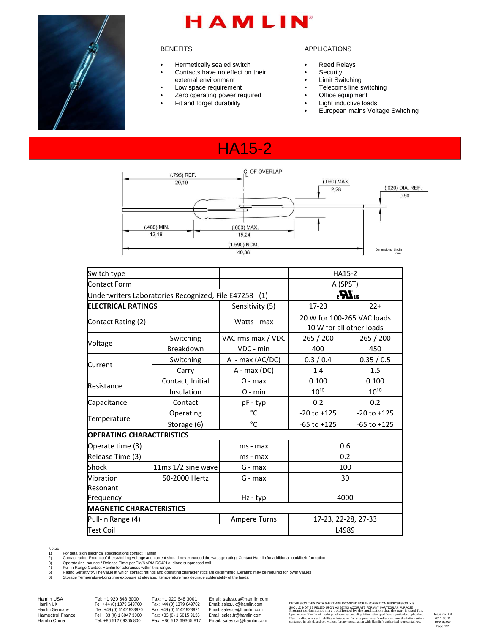

# HAMLIN

#### **BENEFITS**

- Hermetically sealed switch
- Contacts have no effect on their
- external environment
- Low space requirement
- Zero operating power required
- Fit and forget durability

#### APPLICATIONS

- **Reed Relays**
- Security
- Limit Switching
- Telecoms line switching
- Office equipment
- Light inductive loads
- European mains Voltage Switching

## HA15-2



| Switch type                              |                                                       |                   | HA15-2                                                 |                 |  |
|------------------------------------------|-------------------------------------------------------|-------------------|--------------------------------------------------------|-----------------|--|
| Contact Form                             |                                                       |                   | A (SPST)                                               |                 |  |
|                                          | Underwriters Laboratories Recognized, File E47258 (1) |                   | $\boldsymbol{H}$ <sub>us</sub>                         |                 |  |
| <b>ELECTRICAL RATINGS</b>                |                                                       | Sensitivity (5)   | $17-23$                                                | $22+$           |  |
| Contact Rating (2)                       |                                                       | Watts - max       | 20 W for 100-265 VAC loads<br>10 W for all other loads |                 |  |
| Voltage                                  | Switching                                             | VAC rms max / VDC | 265 / 200                                              | 265 / 200       |  |
|                                          | Breakdown                                             | VDC - min         | 400                                                    | 450             |  |
| Current                                  | Switching                                             | A - max (AC/DC)   | 0.3 / 0.4                                              | 0.35 / 0.5      |  |
|                                          | Carry                                                 | A - max (DC)      | 1.4                                                    | 1.5             |  |
| Resistance                               | Contact, Initial                                      | $\Omega$ - max    | 0.100                                                  | 0.100           |  |
|                                          | Insulation                                            | $\Omega$ - min    | $10^{10}$                                              | $10^{10}$       |  |
| Capacitance                              | Contact                                               | pF - typ          | 0.2                                                    | 0.2             |  |
| Temperature                              | Operating                                             | °C                | $-20$ to $+125$                                        | $-20$ to $+125$ |  |
|                                          | Storage (6)                                           | °C                | $-65$ to $+125$                                        | $-65$ to $+125$ |  |
| <b>OPERATING CHARACTERISTICS</b>         |                                                       |                   |                                                        |                 |  |
| Operate time (3)                         |                                                       | ms - max          | 0.6                                                    |                 |  |
| Release Time (3)                         |                                                       | ms - max          | 0.2                                                    |                 |  |
| Shock                                    | 11ms $1/2$ sine wave                                  | $G - max$         | 100                                                    |                 |  |
| Vibration                                | 50-2000 Hertz                                         | G - max           | 30                                                     |                 |  |
| Resonant                                 |                                                       |                   |                                                        |                 |  |
| Frequency                                |                                                       | Hz - typ          | 4000                                                   |                 |  |
| <b>MAGNETIC CHARACTERISTICS</b>          |                                                       |                   |                                                        |                 |  |
| Pull-in Range (4)<br><b>Ampere Turns</b> |                                                       |                   | 17-23, 22-28, 27-33                                    |                 |  |
| <b>Test Coil</b>                         |                                                       |                   | L4989                                                  |                 |  |

Tor details on electrical specifications contact Hamlin<br>2) Contact rating-Product of the switching voltage and current should never exceed the wattage rating. Contact Hamlin for additional load/life information<br>3) Coptact

Notes<br>1)<br>2)<br>3)<br>4)<br>5)<br>6)

Hamlin UK Tel: +44 (0) 1379 649700 Fax: +44 (0) 1379 649702 Email: sales.uk@hamlin.com Hamlin UK<br>
Hamlin UK Tel: +44 (0) 1379 649700 Fax: +44 (0) 1379 649702<br>
Hamlin Germany Tel: +49 (0) 6142 923920 Fax: +49 (0) 6142 923921<br>
Hamectrol France Tel: +33 (0) 1 6047 3000 Fax: +33 (0) 1 6015 9136 Hamectrol France Tel: +33 (0) 1 6047 3000 Fax: +33 (0) 1 6015 9136 Email: sales.fr@hamlin.com<br>
Hamlin China Tel: +86 512 69365 800 Fax: +86 512 69365 817 Email: sales.cn@hamlin.com

Hamlin USA Tel: +1 920 648 3000 Fax: +1 920 648 3001 Email: sales.us@hamlin.com<br>Hamlin UK Tel: +44 (0) 1379 649700 Fax: +44 (0) 1379 649702 Email: sales.uk@hamlin.com<br>Hamlin Germany Tel: +49 (0) 6142 923920 Fax: +49 (0) 61 Email: sales.cn@hamlin.com

DETAILS ON THIS DATA SHEET ARE PROVIDED FOR INFORMATION PURPOSES ONLY & SHOULD NOT BE RELIED UPON AS BEING ACCURATE FOR ANY PARTICULAR PURPOSE<br>Product performance may be affected by the application that the part is used for.<br>Upon request Hamlin will assist purchasers by providing information s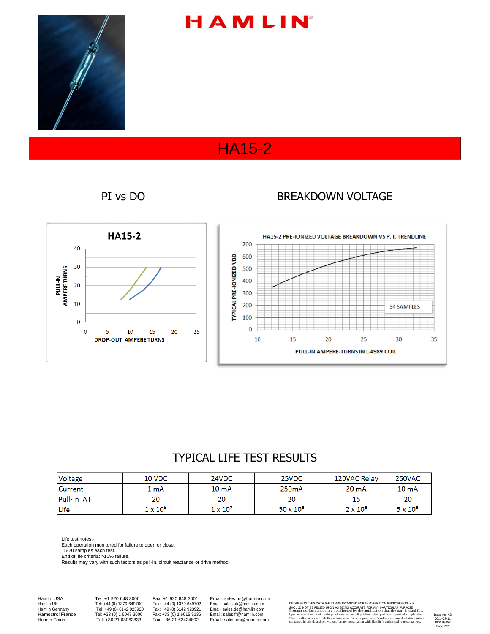

# HAMLIN

## HA15-2

#### PI vs DO BREAKDOWN VOLTAGE



### TYPICAL LIFE TEST RESULTS

| Voltage    | 10 VDC          | 24VDC           | 25VDC              | 120VAC Relay    | 250VAC           |
|------------|-----------------|-----------------|--------------------|-----------------|------------------|
| Current    | 1 mA            | $10 \text{ mA}$ | 250 <sub>m</sub> A | $20 \text{ mA}$ | 10 <sub>mA</sub> |
| Pull-In AT | 20              | 20              |                    | 15              | 20               |
| Life       | $1 \times 10^8$ | $1 \times 10^7$ | $50 \times 10^6$   | $2 \times 10^6$ | $5 \times 10^6$  |

Life test notes:-

Each operation monitored for failure to open or close.

15-20 samples each test.

End of life criteria: >10% failure.

Results may vary with such factors as pull-in, circuit reactance or drive method.

Hamlin USA Tel: +1 920 648 3000 Fax: +1 920 648 3001 Email: sales.us@hamlin.com

Hamlin UK Tel: +44 (0) 1379 649700 Fax: +44 (0) 1379 649702 Email: sales.uk@hamlin.com<br>
Hamlin Germany Tel: +49 (0) 6142 923920 Fax: +49 (0) 6142 923921 Email: sales.de@hamlin.com<br>
Hamectrol France Tel: +33 (0) 1 6047 3000 Hamlin Germany Tel: +49 (0) 6142 923920 Fax: +49 (0) 6142 923921 Email: sales.de@hamlin.com Hamectrol France Tel: +33 (0) 1 6047 3000 Fax: +33 (0) 1 6015 9136 Email: sales.fr@hamlin.com Hamlin China Tel: +86 21 68062833 Fax: +86 21 62424802 Email: sales.cn@hamlin.com

DETAILS ON THIS DATA SHEET ARE PROVIDED FOR INFORMATION PURPOSES ONLY & SHOULD NOT BE RELIED UPON AS BEING ACCURATE FOR ANY PARTICULAR PURPOSE<br>Product performance may be affected by the application that the part is used for.<br>Upon request Hamlin will assist purchasers by providing information s